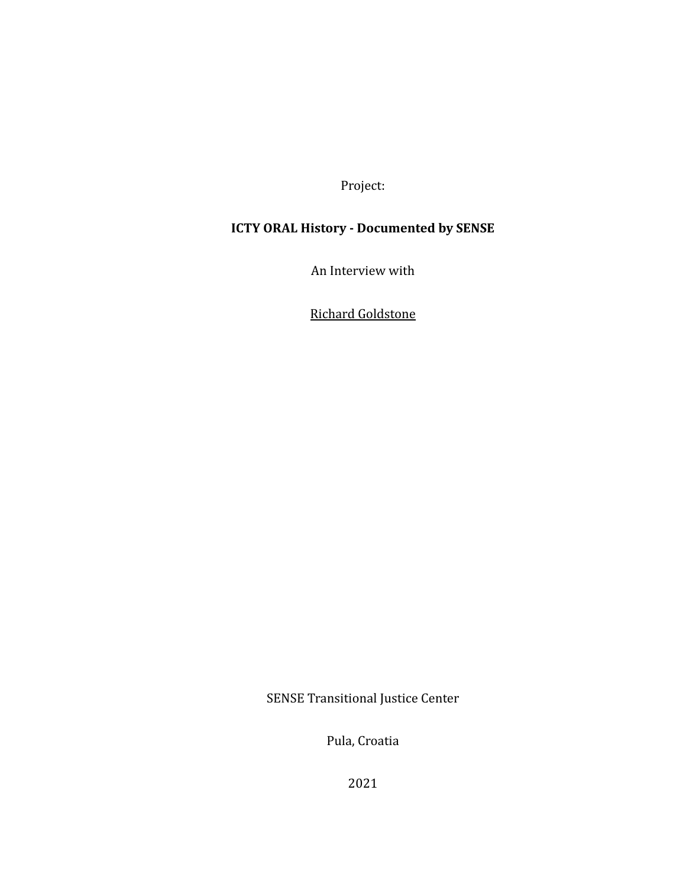Project:

# **ICTY ORAL History - Documented by SENSE**

An Interview with

Richard Goldstone

SENSE Transitional Justice Center

Pula, Croatia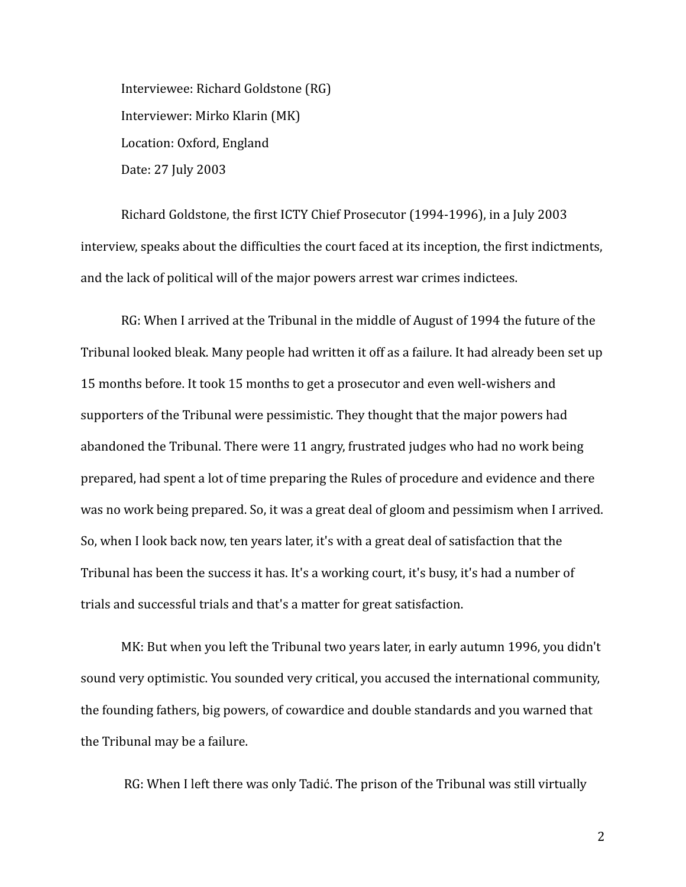Interviewee: Richard Goldstone (RG) Interviewer: Mirko Klarin (MK) Location: Oxford, England Date: 27 July 2003

Richard Goldstone, the first ICTY Chief Prosecutor (1994-1996), in a July 2003 interview, speaks about the difficulties the court faced at its inception, the first indictments, and the lack of political will of the major powers arrest war crimes indictees.

RG: When I arrived at the Tribunal in the middle of August of 1994 the future of the Tribunal looked bleak. Many people had written it off as a failure. It had already been set up 15 months before. It took 15 months to get a prosecutor and even well-wishers and supporters of the Tribunal were pessimistic. They thought that the major powers had abandoned the Tribunal. There were 11 angry, frustrated judges who had no work being prepared, had spent a lot of time preparing the Rules of procedure and evidence and there was no work being prepared. So, it was a great deal of gloom and pessimism when I arrived. So, when I look back now, ten years later, it's with a great deal of satisfaction that the Tribunal has been the success it has. It's a working court, it's busy, it's had a number of trials and successful trials and that's a matter for great satisfaction.

MK: But when you left the Tribunal two years later, in early autumn 1996, you didn't sound very optimistic. You sounded very critical, you accused the international community, the founding fathers, big powers, of cowardice and double standards and you warned that the Tribunal may be a failure.

RG: When I left there was only Tadić. The prison of the Tribunal was still virtually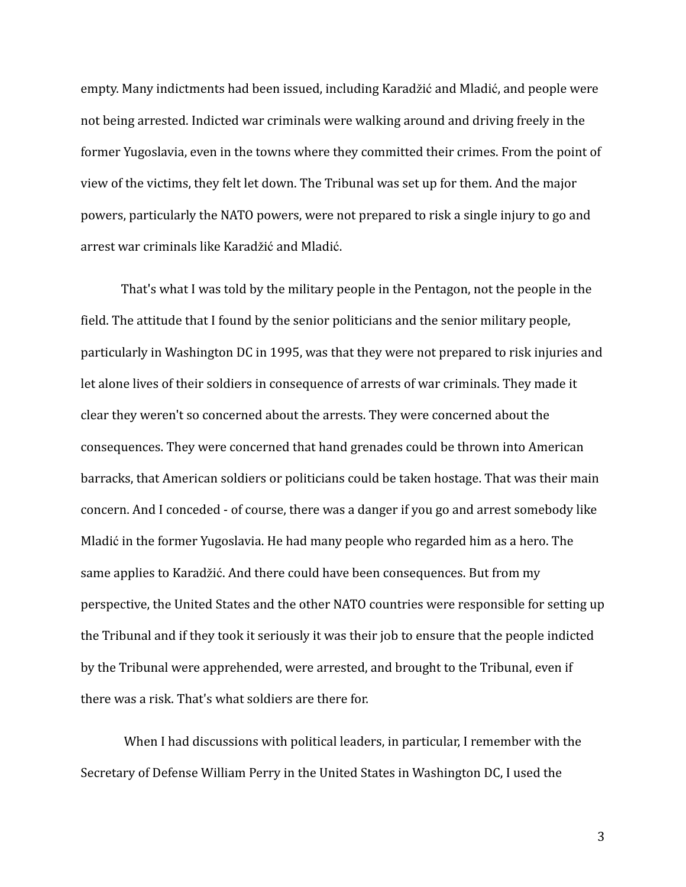empty. Many indictments had been issued, including Karadžić and Mladić, and people were not being arrested. Indicted war criminals were walking around and driving freely in the former Yugoslavia, even in the towns where they committed their crimes. From the point of view of the victims, they felt let down. The Tribunal was set up for them. And the major powers, particularly the NATO powers, were not prepared to risk a single injury to go and arrest war criminals like Karadžić and Mladić.

That's what I was told by the military people in the Pentagon, not the people in the field. The attitude that I found by the senior politicians and the senior military people, particularly in Washington DC in 1995, was that they were not prepared to risk injuries and let alone lives of their soldiers in consequence of arrests of war criminals. They made it clear they weren't so concerned about the arrests. They were concerned about the consequences. They were concerned that hand grenades could be thrown into American barracks, that American soldiers or politicians could be taken hostage. That was their main concern. And I conceded - of course, there was a danger if you go and arrest somebody like Mladić in the former Yugoslavia. He had many people who regarded him as a hero. The same applies to Karadžić. And there could have been consequences. But from my perspective, the United States and the other NATO countries were responsible for setting up the Tribunal and if they took it seriously it was their job to ensure that the people indicted by the Tribunal were apprehended, were arrested, and brought to the Tribunal, even if there was a risk. That's what soldiers are there for.

When I had discussions with political leaders, in particular, I remember with the Secretary of Defense William Perry in the United States in Washington DC, I used the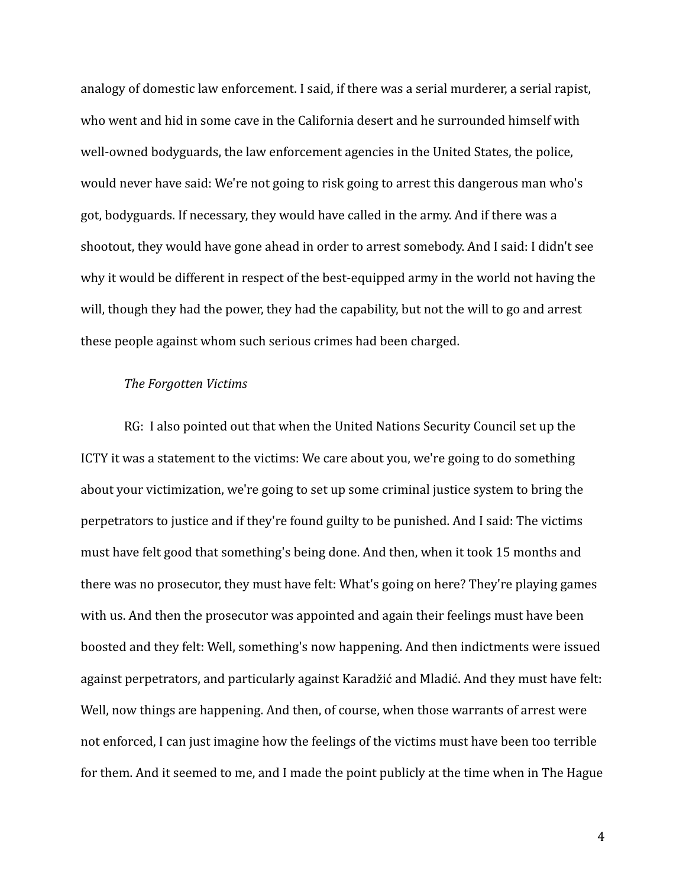analogy of domestic law enforcement. I said, if there was a serial murderer, a serial rapist, who went and hid in some cave in the California desert and he surrounded himself with well-owned bodyguards, the law enforcement agencies in the United States, the police, would never have said: We're not going to risk going to arrest this dangerous man who's got, bodyguards. If necessary, they would have called in the army. And if there was a shootout, they would have gone ahead in order to arrest somebody. And I said: I didn't see why it would be different in respect of the best-equipped army in the world not having the will, though they had the power, they had the capability, but not the will to go and arrest these people against whom such serious crimes had been charged.

#### *The Forgotten Victims*

RG: I also pointed out that when the United Nations Security Council set up the ICTY it was a statement to the victims: We care about you, we're going to do something about your victimization, we're going to set up some criminal justice system to bring the perpetrators to justice and if they're found guilty to be punished. And I said: The victims must have felt good that something's being done. And then, when it took 15 months and there was no prosecutor, they must have felt: What's going on here? They're playing games with us. And then the prosecutor was appointed and again their feelings must have been boosted and they felt: Well, something's now happening. And then indictments were issued against perpetrators, and particularly against Karadžić and Mladić. And they must have felt: Well, now things are happening. And then, of course, when those warrants of arrest were not enforced, I can just imagine how the feelings of the victims must have been too terrible for them. And it seemed to me, and I made the point publicly at the time when in The Hague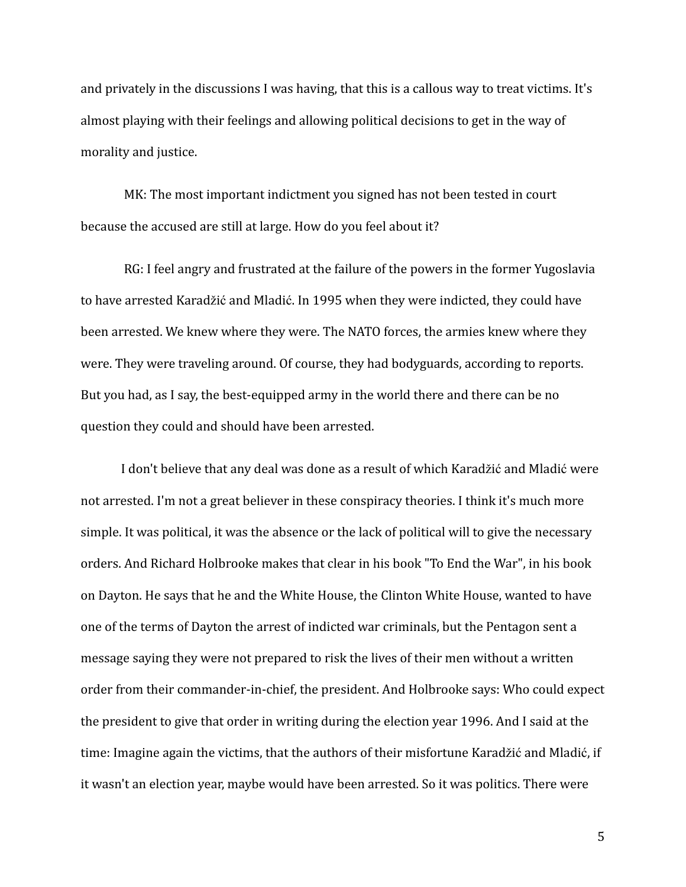and privately in the discussions I was having, that this is a callous way to treat victims. It's almost playing with their feelings and allowing political decisions to get in the way of morality and justice.

MK: The most important indictment you signed has not been tested in court because the accused are still at large. How do you feel about it?

RG: I feel angry and frustrated at the failure of the powers in the former Yugoslavia to have arrested Karadžić and Mladić. In 1995 when they were indicted, they could have been arrested. We knew where they were. The NATO forces, the armies knew where they were. They were traveling around. Of course, they had bodyguards, according to reports. But you had, as I say, the best-equipped army in the world there and there can be no question they could and should have been arrested.

I don't believe that any deal was done as a result of which Karadžić and Mladić were not arrested. I'm not a great believer in these conspiracy theories. I think it's much more simple. It was political, it was the absence or the lack of political will to give the necessary orders. And Richard Holbrooke makes that clear in his book "To End the War", in his book on Dayton. He says that he and the White House, the Clinton White House, wanted to have one of the terms of Dayton the arrest of indicted war criminals, but the Pentagon sent a message saying they were not prepared to risk the lives of their men without a written order from their commander-in-chief, the president. And Holbrooke says: Who could expect the president to give that order in writing during the election year 1996. And I said at the time: Imagine again the victims, that the authors of their misfortune Karadžić and Mladić, if it wasn't an election year, maybe would have been arrested. So it was politics. There were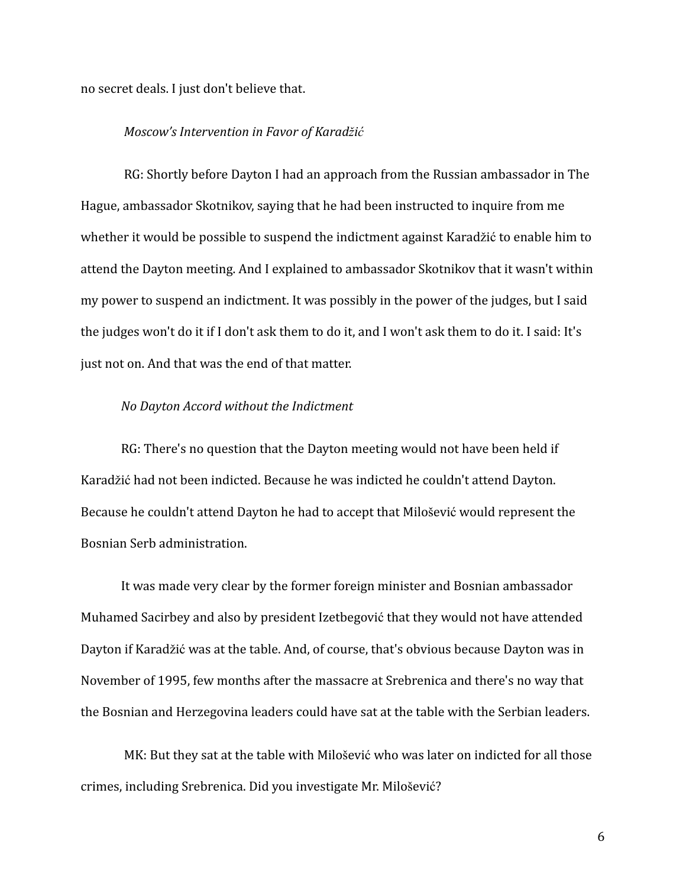no secret deals. I just don't believe that.

### *Moscow's Intervention in Favor of Karadžić*

RG: Shortly before Dayton I had an approach from the Russian ambassador in The Hague, ambassador Skotnikov, saying that he had been instructed to inquire from me whether it would be possible to suspend the indictment against Karadžić to enable him to attend the Dayton meeting. And I explained to ambassador Skotnikov that it wasn't within my power to suspend an indictment. It was possibly in the power of the judges, but I said the judges won't do it if I don't ask them to do it, and I won't ask them to do it. I said: It's just not on. And that was the end of that matter.

#### *No Dayton Accord without the Indictment*

RG: There's no question that the Dayton meeting would not have been held if Karadžić had not been indicted. Because he was indicted he couldn't attend Dayton. Because he couldn't attend Dayton he had to accept that Milošević would represent the Bosnian Serb administration.

It was made very clear by the former foreign minister and Bosnian ambassador Muhamed Sacirbey and also by president Izetbegović that they would not have attended Dayton if Karadžić was at the table. And, of course, that's obvious because Dayton was in November of 1995, few months after the massacre at Srebrenica and there's no way that the Bosnian and Herzegovina leaders could have sat at the table with the Serbian leaders.

MK: But they sat at the table with Milošević who was later on indicted for all those crimes, including Srebrenica. Did you investigate Mr. Milošević?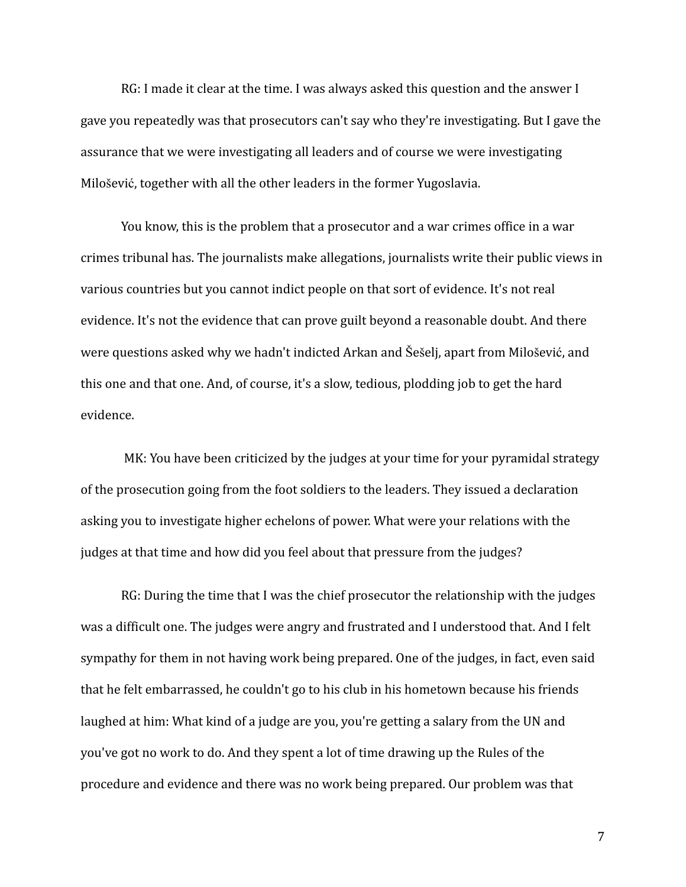RG: I made it clear at the time. I was always asked this question and the answer I gave you repeatedly was that prosecutors can't say who they're investigating. But I gave the assurance that we were investigating all leaders and of course we were investigating Milošević, together with all the other leaders in the former Yugoslavia.

You know, this is the problem that a prosecutor and a war crimes office in a war crimes tribunal has. The journalists make allegations, journalists write their public views in various countries but you cannot indict people on that sort of evidence. It's not real evidence. It's not the evidence that can prove guilt beyond a reasonable doubt. And there were questions asked why we hadn't indicted Arkan and Šešelj, apart from Milošević, and this one and that one. And, of course, it's a slow, tedious, plodding job to get the hard evidence.

MK: You have been criticized by the judges at your time for your pyramidal strategy of the prosecution going from the foot soldiers to the leaders. They issued a declaration asking you to investigate higher echelons of power. What were your relations with the judges at that time and how did you feel about that pressure from the judges?

RG: During the time that I was the chief prosecutor the relationship with the judges was a difficult one. The judges were angry and frustrated and I understood that. And I felt sympathy for them in not having work being prepared. One of the judges, in fact, even said that he felt embarrassed, he couldn't go to his club in his hometown because his friends laughed at him: What kind of a judge are you, you're getting a salary from the UN and you've got no work to do. And they spent a lot of time drawing up the Rules of the procedure and evidence and there was no work being prepared. Our problem was that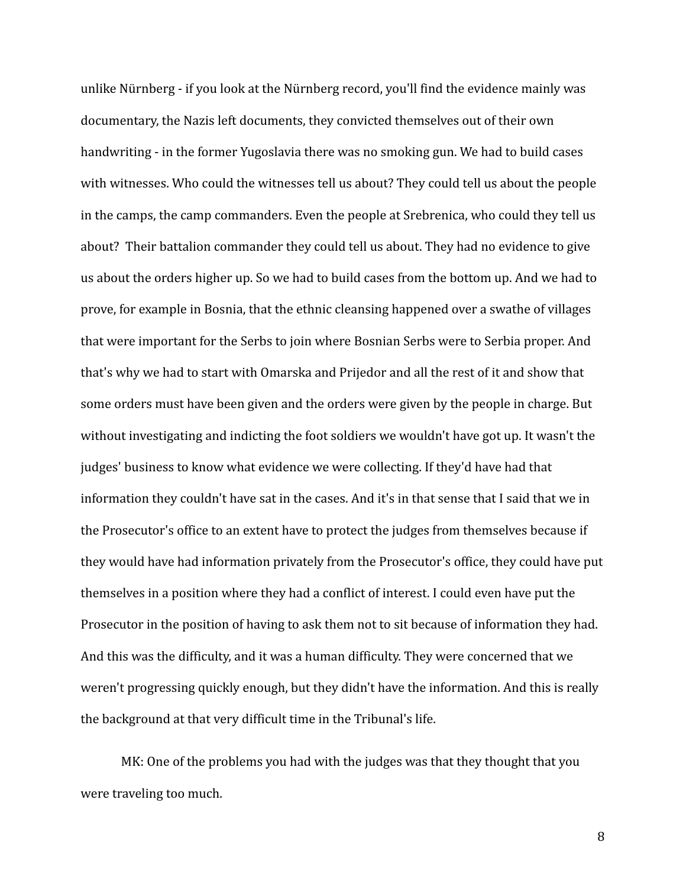unlike Nürnberg - if you look at the Nürnberg record, you'll find the evidence mainly was documentary, the Nazis left documents, they convicted themselves out of their own handwriting - in the former Yugoslavia there was no smoking gun. We had to build cases with witnesses. Who could the witnesses tell us about? They could tell us about the people in the camps, the camp commanders. Even the people at Srebrenica, who could they tell us about? Their battalion commander they could tell us about. They had no evidence to give us about the orders higher up. So we had to build cases from the bottom up. And we had to prove, for example in Bosnia, that the ethnic cleansing happened over a swathe of villages that were important for the Serbs to join where Bosnian Serbs were to Serbia proper. And that's why we had to start with Omarska and Prijedor and all the rest of it and show that some orders must have been given and the orders were given by the people in charge. But without investigating and indicting the foot soldiers we wouldn't have got up. It wasn't the judges' business to know what evidence we were collecting. If they'd have had that information they couldn't have sat in the cases. And it's in that sense that I said that we in the Prosecutor's office to an extent have to protect the judges from themselves because if they would have had information privately from the Prosecutor's office, they could have put themselves in a position where they had a conflict of interest. I could even have put the Prosecutor in the position of having to ask them not to sit because of information they had. And this was the difficulty, and it was a human difficulty. They were concerned that we weren't progressing quickly enough, but they didn't have the information. And this is really the background at that very difficult time in the Tribunal's life.

MK: One of the problems you had with the judges was that they thought that you were traveling too much.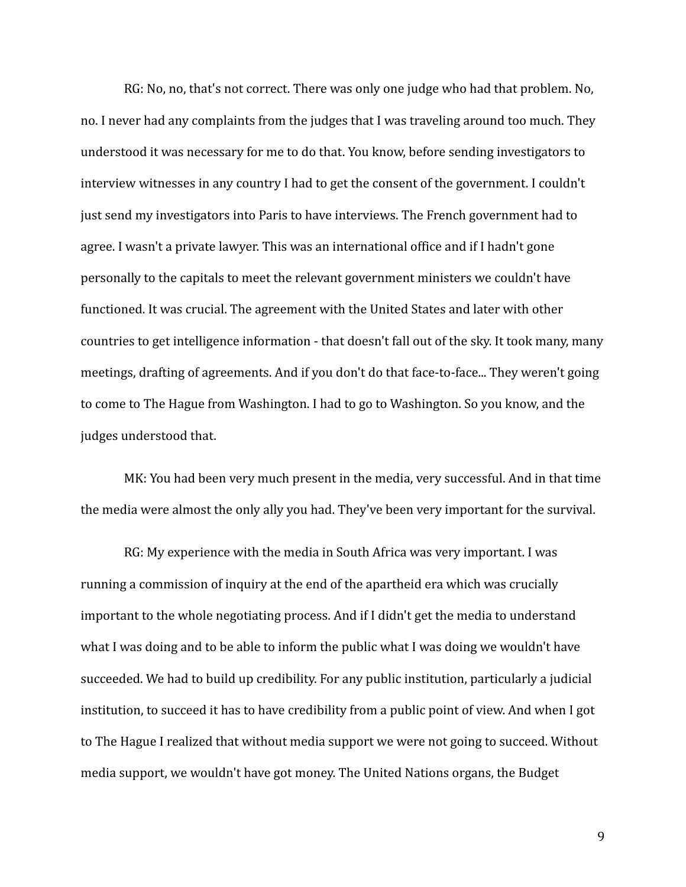RG: No, no, that's not correct. There was only one judge who had that problem. No, no. I never had any complaints from the judges that I was traveling around too much. They understood it was necessary for me to do that. You know, before sending investigators to interview witnesses in any country I had to get the consent of the government. I couldn't just send my investigators into Paris to have interviews. The French government had to agree. I wasn't a private lawyer. This was an international office and if I hadn't gone personally to the capitals to meet the relevant government ministers we couldn't have functioned. It was crucial. The agreement with the United States and later with other countries to get intelligence information - that doesn't fall out of the sky. It took many, many meetings, drafting of agreements. And if you don't do that face-to-face... They weren't going to come to The Hague from Washington. I had to go to Washington. So you know, and the judges understood that.

MK: You had been very much present in the media, very successful. And in that time the media were almost the only ally you had. They've been very important for the survival.

RG: My experience with the media in South Africa was very important. I was running a commission of inquiry at the end of the apartheid era which was crucially important to the whole negotiating process. And if I didn't get the media to understand what I was doing and to be able to inform the public what I was doing we wouldn't have succeeded. We had to build up credibility. For any public institution, particularly a judicial institution, to succeed it has to have credibility from a public point of view. And when I got to The Hague I realized that without media support we were not going to succeed. Without media support, we wouldn't have got money. The United Nations organs, the Budget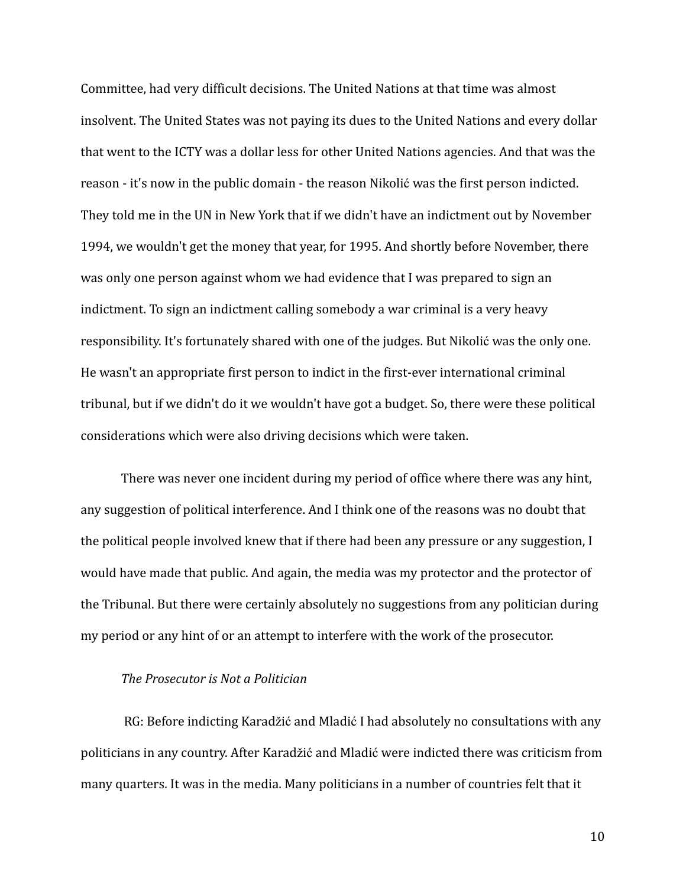Committee, had very difficult decisions. The United Nations at that time was almost insolvent. The United States was not paying its dues to the United Nations and every dollar that went to the ICTY was a dollar less for other United Nations agencies. And that was the reason - it's now in the public domain - the reason Nikolić was the first person indicted. They told me in the UN in New York that if we didn't have an indictment out by November 1994, we wouldn't get the money that year, for 1995. And shortly before November, there was only one person against whom we had evidence that I was prepared to sign an indictment. To sign an indictment calling somebody a war criminal is a very heavy responsibility. It's fortunately shared with one of the judges. But Nikolić was the only one. He wasn't an appropriate first person to indict in the first-ever international criminal tribunal, but if we didn't do it we wouldn't have got a budget. So, there were these political considerations which were also driving decisions which were taken.

There was never one incident during my period of office where there was any hint, any suggestion of political interference. And I think one of the reasons was no doubt that the political people involved knew that if there had been any pressure or any suggestion, I would have made that public. And again, the media was my protector and the protector of the Tribunal. But there were certainly absolutely no suggestions from any politician during my period or any hint of or an attempt to interfere with the work of the prosecutor.

### *The Prosecutor is Not a Politician*

RG: Before indicting Karadžić and Mladić I had absolutely no consultations with any politicians in any country. After Karadžić and Mladić were indicted there was criticism from many quarters. It was in the media. Many politicians in a number of countries felt that it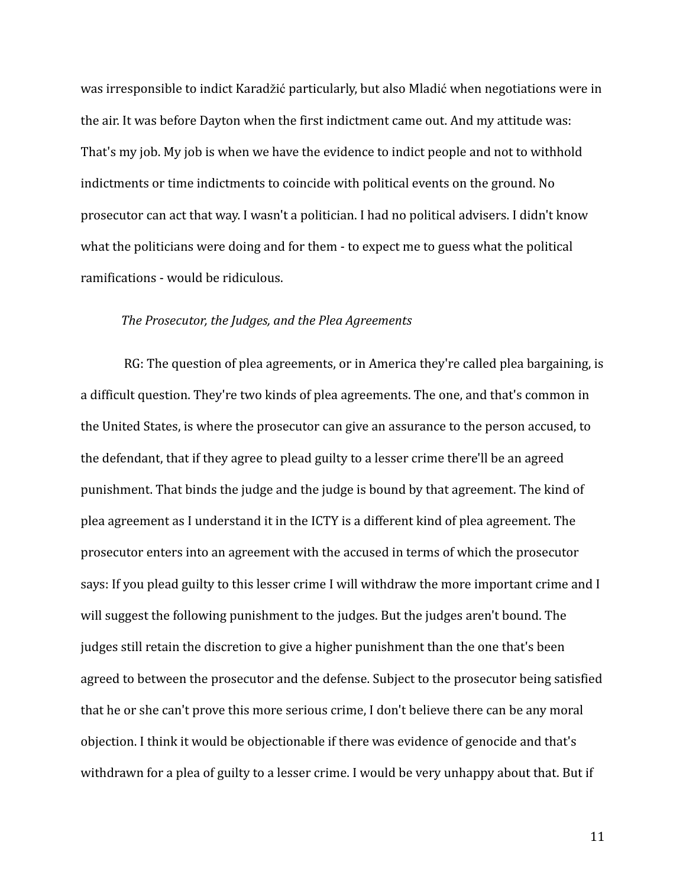was irresponsible to indict Karadžić particularly, but also Mladić when negotiations were in the air. It was before Dayton when the first indictment came out. And my attitude was: That's my job. My job is when we have the evidence to indict people and not to withhold indictments or time indictments to coincide with political events on the ground. No prosecutor can act that way. I wasn't a politician. I had no political advisers. I didn't know what the politicians were doing and for them - to expect me to guess what the political ramifications - would be ridiculous.

#### *The Prosecutor, the Judges, and the Plea Agreements*

RG: The question of plea agreements, or in America they're called plea bargaining, is a difficult question. They're two kinds of plea agreements. The one, and that's common in the United States, is where the prosecutor can give an assurance to the person accused, to the defendant, that if they agree to plead guilty to a lesser crime there'll be an agreed punishment. That binds the judge and the judge is bound by that agreement. The kind of plea agreement as I understand it in the ICTY is a different kind of plea agreement. The prosecutor enters into an agreement with the accused in terms of which the prosecutor says: If you plead guilty to this lesser crime I will withdraw the more important crime and I will suggest the following punishment to the judges. But the judges aren't bound. The judges still retain the discretion to give a higher punishment than the one that's been agreed to between the prosecutor and the defense. Subject to the prosecutor being satisfied that he or she can't prove this more serious crime, I don't believe there can be any moral objection. I think it would be objectionable if there was evidence of genocide and that's withdrawn for a plea of guilty to a lesser crime. I would be very unhappy about that. But if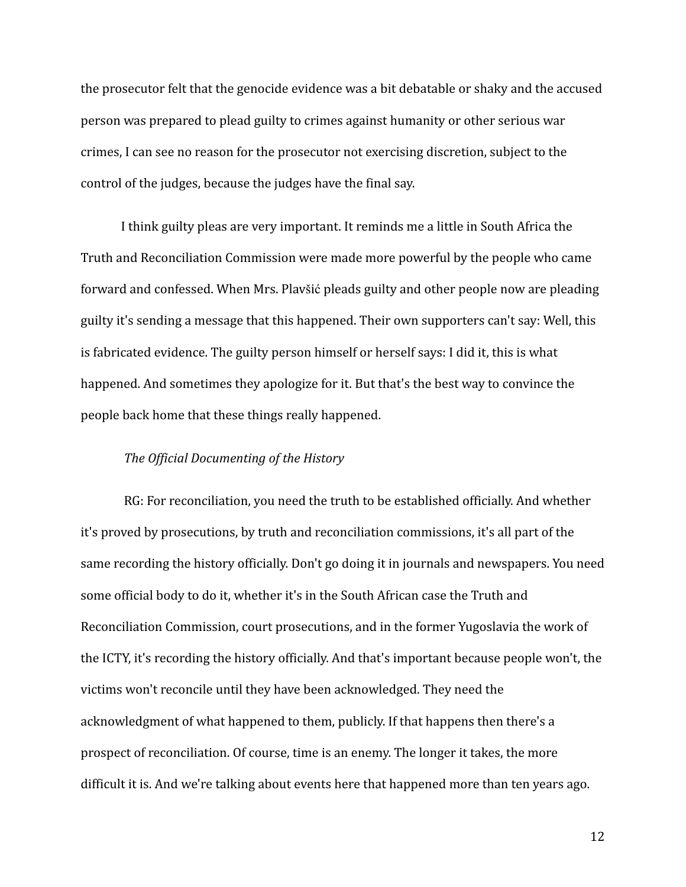the prosecutor felt that the genocide evidence was a bit debatable or shaky and the accused person was prepared to plead guilty to crimes against humanity or other serious war crimes, I can see no reason for the prosecutor not exercising discretion, subject to the control of the judges, because the judges have the final say.

I think guilty pleas are very important. It reminds me a little in South Africa the Truth and Reconciliation Commission were made more powerful by the people who came forward and confessed. When Mrs. Plavšić pleads guilty and other people now are pleading guilty it's sending a message that this happened. Their own supporters can't say: Well, this is fabricated evidence. The guilty person himself or herself says: I did it, this is what happened. And sometimes they apologize for it. But that's the best way to convince the people back home that these things really happened.

## *The Official Documenting of the History*

RG: For reconciliation, you need the truth to be established officially. And whether it's proved by prosecutions, by truth and reconciliation commissions, it's all part of the same recording the history officially. Don't go doing it in journals and newspapers. You need some official body to do it, whether it's in the South African case the Truth and Reconciliation Commission, court prosecutions, and in the former Yugoslavia the work of the ICTY, it's recording the history officially. And that's important because people won't, the victims won't reconcile until they have been acknowledged. They need the acknowledgment of what happened to them, publicly. If that happens then there's a prospect of reconciliation. Of course, time is an enemy. The longer it takes, the more difficult it is. And we're talking about events here that happened more than ten years ago.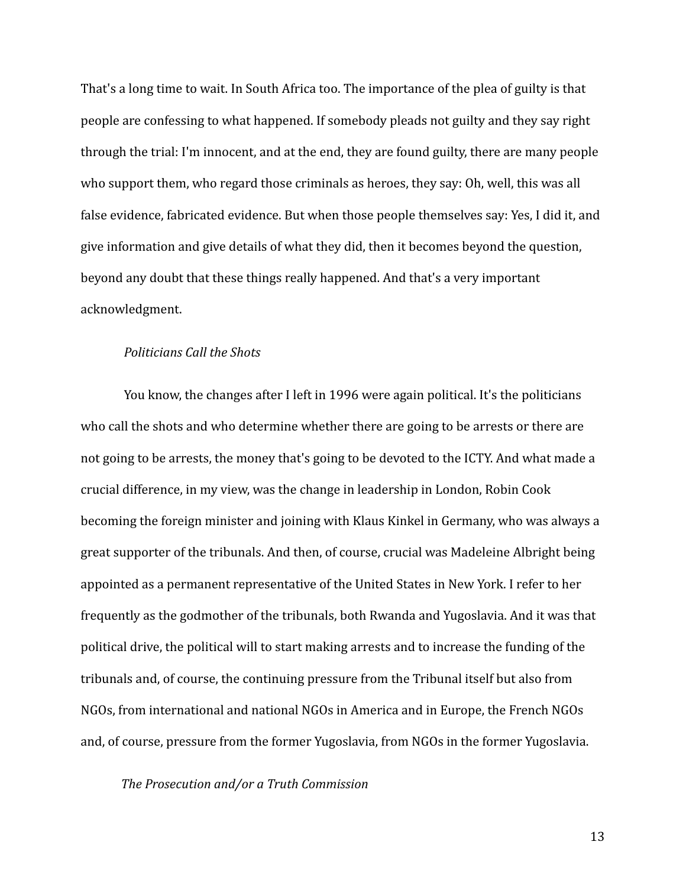That's a long time to wait. In South Africa too. The importance of the plea of guilty is that people are confessing to what happened. If somebody pleads not guilty and they say right through the trial: I'm innocent, and at the end, they are found guilty, there are many people who support them, who regard those criminals as heroes, they say: Oh, well, this was all false evidence, fabricated evidence. But when those people themselves say: Yes, I did it, and give information and give details of what they did, then it becomes beyond the question, beyond any doubt that these things really happened. And that's a very important acknowledgment.

### *Politicians Call the Shots*

You know, the changes after I left in 1996 were again political. It's the politicians who call the shots and who determine whether there are going to be arrests or there are not going to be arrests, the money that's going to be devoted to the ICTY. And what made a crucial difference, in my view, was the change in leadership in London, Robin Cook becoming the foreign minister and joining with Klaus Kinkel in Germany, who was always a great supporter of the tribunals. And then, of course, crucial was Madeleine Albright being appointed as a permanent representative of the United States in New York. I refer to her frequently as the godmother of the tribunals, both Rwanda and Yugoslavia. And it was that political drive, the political will to start making arrests and to increase the funding of the tribunals and, of course, the continuing pressure from the Tribunal itself but also from NGOs, from international and national NGOs in America and in Europe, the French NGOs and, of course, pressure from the former Yugoslavia, from NGOs in the former Yugoslavia.

*The Prosecution and/or a Truth Commission*